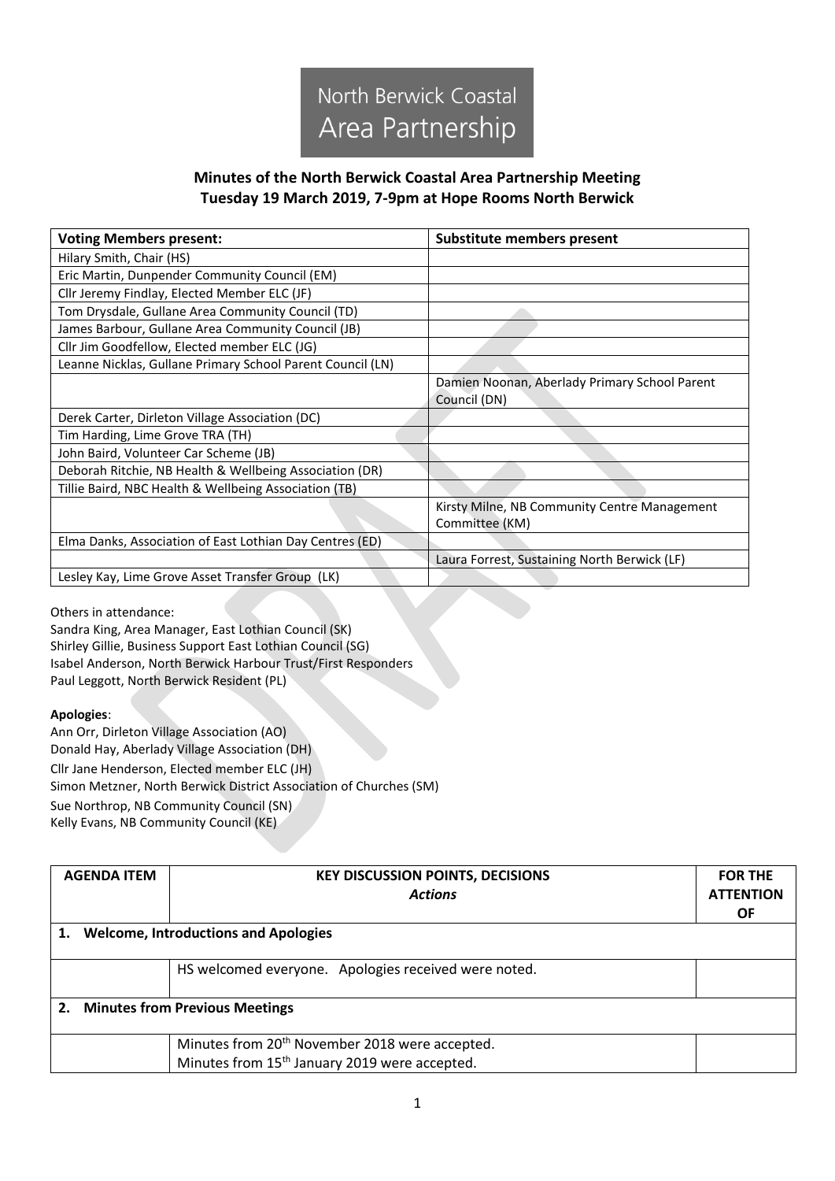

## **Minutes of the North Berwick Coastal Area Partnership Meeting Tuesday 19 March 2019, 7-9pm at Hope Rooms North Berwick**

| <b>Voting Members present:</b>                             | Substitute members present                                     |
|------------------------------------------------------------|----------------------------------------------------------------|
| Hilary Smith, Chair (HS)                                   |                                                                |
| Eric Martin, Dunpender Community Council (EM)              |                                                                |
| Cllr Jeremy Findlay, Elected Member ELC (JF)               |                                                                |
| Tom Drysdale, Gullane Area Community Council (TD)          |                                                                |
| James Barbour, Gullane Area Community Council (JB)         |                                                                |
| Cllr Jim Goodfellow, Elected member ELC (JG)               |                                                                |
| Leanne Nicklas, Gullane Primary School Parent Council (LN) |                                                                |
|                                                            | Damien Noonan, Aberlady Primary School Parent<br>Council (DN)  |
| Derek Carter, Dirleton Village Association (DC)            |                                                                |
| Tim Harding, Lime Grove TRA (TH)                           |                                                                |
| John Baird, Volunteer Car Scheme (JB)                      |                                                                |
| Deborah Ritchie, NB Health & Wellbeing Association (DR)    |                                                                |
| Tillie Baird, NBC Health & Wellbeing Association (TB)      |                                                                |
|                                                            | Kirsty Milne, NB Community Centre Management<br>Committee (KM) |
| Elma Danks, Association of East Lothian Day Centres (ED)   |                                                                |
|                                                            | Laura Forrest, Sustaining North Berwick (LF)                   |
| Lesley Kay, Lime Grove Asset Transfer Group (LK)           |                                                                |

Others in attendance:

Sandra King, Area Manager, East Lothian Council (SK) Shirley Gillie, Business Support East Lothian Council (SG) Isabel Anderson, North Berwick Harbour Trust/First Responders Paul Leggott, North Berwick Resident (PL)

## **Apologies**:

Ann Orr, Dirleton Village Association (AO) Donald Hay, Aberlady Village Association (DH) Cllr Jane Henderson, Elected member ELC (JH) Simon Metzner, North Berwick District Association of Churches (SM) Sue Northrop, NB Community Council (SN) Kelly Evans, NB Community Council (KE)

| <b>AGENDA ITEM</b>                      | <b>KEY DISCUSSION POINTS, DECISIONS</b><br><b>Actions</b>                                                               | <b>FOR THE</b><br><b>ATTENTION</b><br><b>OF</b> |
|-----------------------------------------|-------------------------------------------------------------------------------------------------------------------------|-------------------------------------------------|
| 1. Welcome, Introductions and Apologies |                                                                                                                         |                                                 |
|                                         | HS welcomed everyone. Apologies received were noted.                                                                    |                                                 |
| 2. Minutes from Previous Meetings       |                                                                                                                         |                                                 |
|                                         | Minutes from 20 <sup>th</sup> November 2018 were accepted.<br>Minutes from 15 <sup>th</sup> January 2019 were accepted. |                                                 |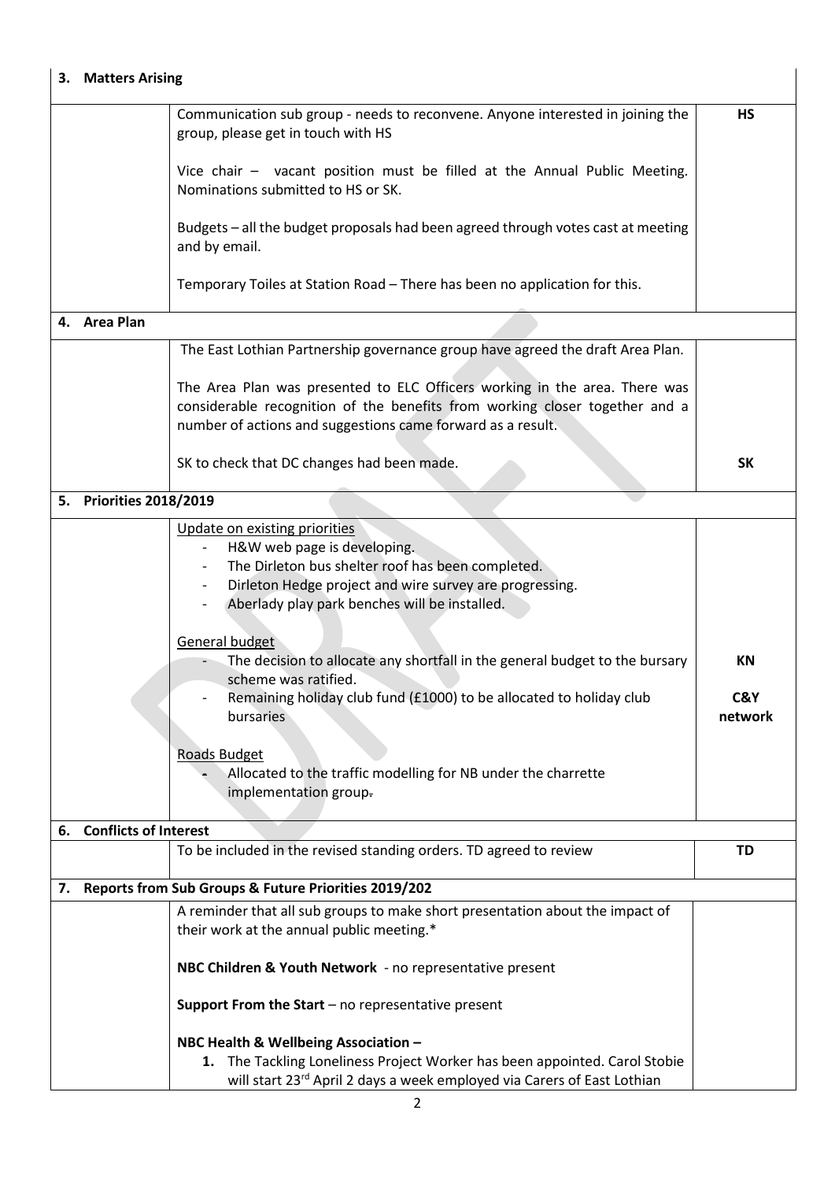## **3. Matters Arising**

|    |                              | Communication sub group - needs to reconvene. Anyone interested in joining the<br>group, please get in touch with HS                                                                                                                                                                                                                                                                                                                                                                                                                                                                                                       | <b>HS</b>            |
|----|------------------------------|----------------------------------------------------------------------------------------------------------------------------------------------------------------------------------------------------------------------------------------------------------------------------------------------------------------------------------------------------------------------------------------------------------------------------------------------------------------------------------------------------------------------------------------------------------------------------------------------------------------------------|----------------------|
|    |                              | Vice chair - vacant position must be filled at the Annual Public Meeting.<br>Nominations submitted to HS or SK.                                                                                                                                                                                                                                                                                                                                                                                                                                                                                                            |                      |
|    |                              | Budgets - all the budget proposals had been agreed through votes cast at meeting<br>and by email.                                                                                                                                                                                                                                                                                                                                                                                                                                                                                                                          |                      |
|    |                              | Temporary Toiles at Station Road - There has been no application for this.                                                                                                                                                                                                                                                                                                                                                                                                                                                                                                                                                 |                      |
|    | 4. Area Plan                 |                                                                                                                                                                                                                                                                                                                                                                                                                                                                                                                                                                                                                            |                      |
|    |                              | The East Lothian Partnership governance group have agreed the draft Area Plan.                                                                                                                                                                                                                                                                                                                                                                                                                                                                                                                                             |                      |
|    |                              | The Area Plan was presented to ELC Officers working in the area. There was<br>considerable recognition of the benefits from working closer together and a<br>number of actions and suggestions came forward as a result.                                                                                                                                                                                                                                                                                                                                                                                                   |                      |
|    |                              | SK to check that DC changes had been made.                                                                                                                                                                                                                                                                                                                                                                                                                                                                                                                                                                                 | <b>SK</b>            |
|    | 5. Priorities 2018/2019      |                                                                                                                                                                                                                                                                                                                                                                                                                                                                                                                                                                                                                            |                      |
|    |                              | Update on existing priorities<br>H&W web page is developing.<br>The Dirleton bus shelter roof has been completed.<br>$\overline{\phantom{a}}$<br>Dirleton Hedge project and wire survey are progressing.<br>$\overline{\phantom{a}}$<br>Aberlady play park benches will be installed.<br>General budget<br>The decision to allocate any shortfall in the general budget to the bursary<br>- 1<br>scheme was ratified.<br>Remaining holiday club fund (£1000) to be allocated to holiday club<br>bursaries<br><b>Roads Budget</b><br>Allocated to the traffic modelling for NB under the charrette<br>implementation group- | ΚN<br>C&Y<br>network |
| 6. | <b>Conflicts of Interest</b> | To be included in the revised standing orders. TD agreed to review                                                                                                                                                                                                                                                                                                                                                                                                                                                                                                                                                         | <b>TD</b>            |
|    |                              |                                                                                                                                                                                                                                                                                                                                                                                                                                                                                                                                                                                                                            |                      |
|    |                              | 7. Reports from Sub Groups & Future Priorities 2019/202                                                                                                                                                                                                                                                                                                                                                                                                                                                                                                                                                                    |                      |
|    |                              | A reminder that all sub groups to make short presentation about the impact of<br>their work at the annual public meeting.*                                                                                                                                                                                                                                                                                                                                                                                                                                                                                                 |                      |
|    |                              | NBC Children & Youth Network - no representative present                                                                                                                                                                                                                                                                                                                                                                                                                                                                                                                                                                   |                      |
|    |                              | Support From the Start $-$ no representative present                                                                                                                                                                                                                                                                                                                                                                                                                                                                                                                                                                       |                      |
|    |                              | NBC Health & Wellbeing Association -<br>The Tackling Loneliness Project Worker has been appointed. Carol Stobie<br>1.<br>will start 23rd April 2 days a week employed via Carers of East Lothian                                                                                                                                                                                                                                                                                                                                                                                                                           |                      |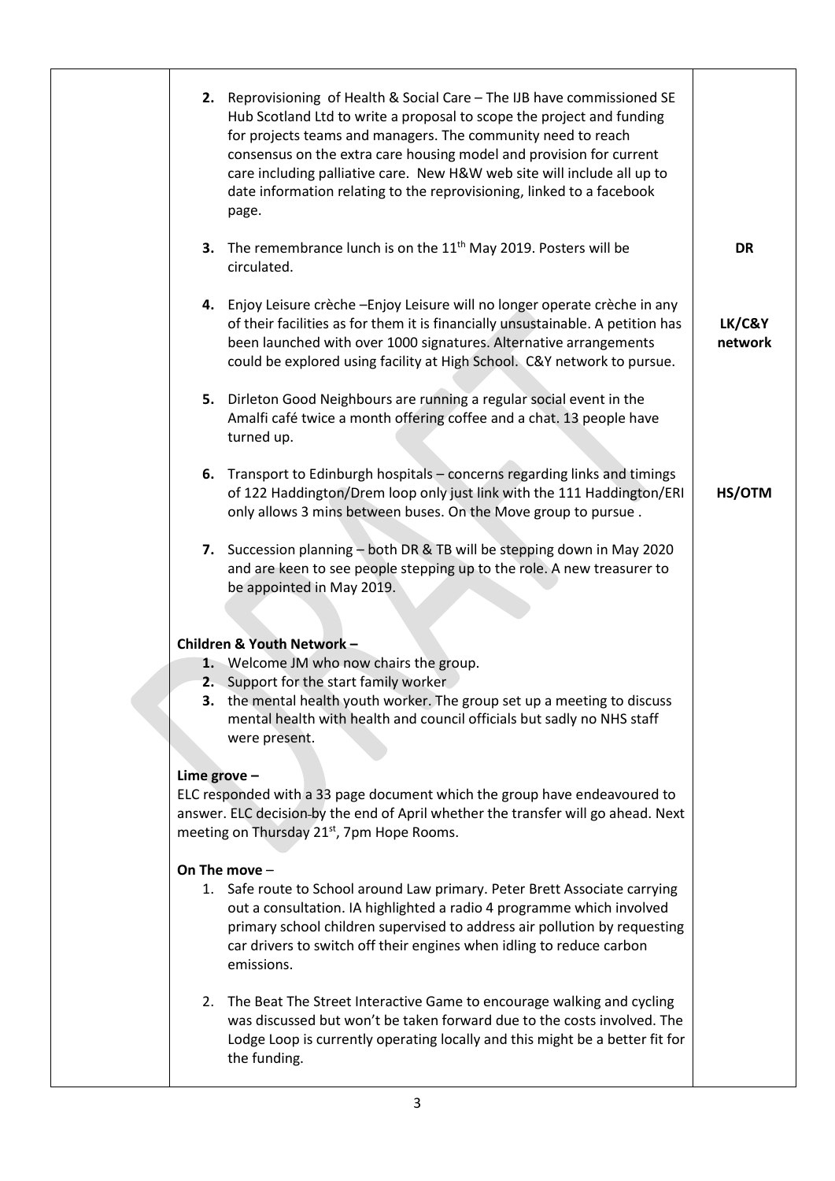|               | 2.             | Reprovisioning of Health & Social Care - The IJB have commissioned SE<br>Hub Scotland Ltd to write a proposal to scope the project and funding<br>for projects teams and managers. The community need to reach<br>consensus on the extra care housing model and provision for current<br>care including palliative care. New H&W web site will include all up to<br>date information relating to the reprovisioning, linked to a facebook<br>page. |                   |
|---------------|----------------|----------------------------------------------------------------------------------------------------------------------------------------------------------------------------------------------------------------------------------------------------------------------------------------------------------------------------------------------------------------------------------------------------------------------------------------------------|-------------------|
|               | 3.             | The remembrance lunch is on the $11th$ May 2019. Posters will be<br>circulated.                                                                                                                                                                                                                                                                                                                                                                    | <b>DR</b>         |
|               | 4.             | Enjoy Leisure crèche - Enjoy Leisure will no longer operate crèche in any<br>of their facilities as for them it is financially unsustainable. A petition has<br>been launched with over 1000 signatures. Alternative arrangements<br>could be explored using facility at High School. C&Y network to pursue.                                                                                                                                       | LK/C&Y<br>network |
|               | 5.             | Dirleton Good Neighbours are running a regular social event in the<br>Amalfi café twice a month offering coffee and a chat. 13 people have<br>turned up.                                                                                                                                                                                                                                                                                           |                   |
|               | 6.             | Transport to Edinburgh hospitals - concerns regarding links and timings<br>of 122 Haddington/Drem loop only just link with the 111 Haddington/ERI<br>only allows 3 mins between buses. On the Move group to pursue.                                                                                                                                                                                                                                | HS/OTM            |
|               | 7.             | Succession planning - both DR & TB will be stepping down in May 2020<br>and are keen to see people stepping up to the role. A new treasurer to<br>be appointed in May 2019.                                                                                                                                                                                                                                                                        |                   |
|               |                |                                                                                                                                                                                                                                                                                                                                                                                                                                                    |                   |
|               |                | Children & Youth Network -                                                                                                                                                                                                                                                                                                                                                                                                                         |                   |
|               |                | 1. Welcome JM who now chairs the group.<br>2. Support for the start family worker                                                                                                                                                                                                                                                                                                                                                                  |                   |
|               | 3.             | the mental health youth worker. The group set up a meeting to discuss                                                                                                                                                                                                                                                                                                                                                                              |                   |
|               |                | mental health with health and council officials but sadly no NHS staff                                                                                                                                                                                                                                                                                                                                                                             |                   |
|               |                | were present.                                                                                                                                                                                                                                                                                                                                                                                                                                      |                   |
|               |                |                                                                                                                                                                                                                                                                                                                                                                                                                                                    |                   |
|               | Lime grove $-$ |                                                                                                                                                                                                                                                                                                                                                                                                                                                    |                   |
|               |                | ELC responded with a 33 page document which the group have endeavoured to                                                                                                                                                                                                                                                                                                                                                                          |                   |
|               |                | answer. ELC decision-by the end of April whether the transfer will go ahead. Next<br>meeting on Thursday 21 <sup>st</sup> , 7pm Hope Rooms.                                                                                                                                                                                                                                                                                                        |                   |
| On The move - |                |                                                                                                                                                                                                                                                                                                                                                                                                                                                    |                   |
|               |                | 1. Safe route to School around Law primary. Peter Brett Associate carrying<br>out a consultation. IA highlighted a radio 4 programme which involved<br>primary school children supervised to address air pollution by requesting<br>car drivers to switch off their engines when idling to reduce carbon<br>emissions.                                                                                                                             |                   |
|               | 2.             | The Beat The Street Interactive Game to encourage walking and cycling<br>was discussed but won't be taken forward due to the costs involved. The<br>Lodge Loop is currently operating locally and this might be a better fit for<br>the funding.                                                                                                                                                                                                   |                   |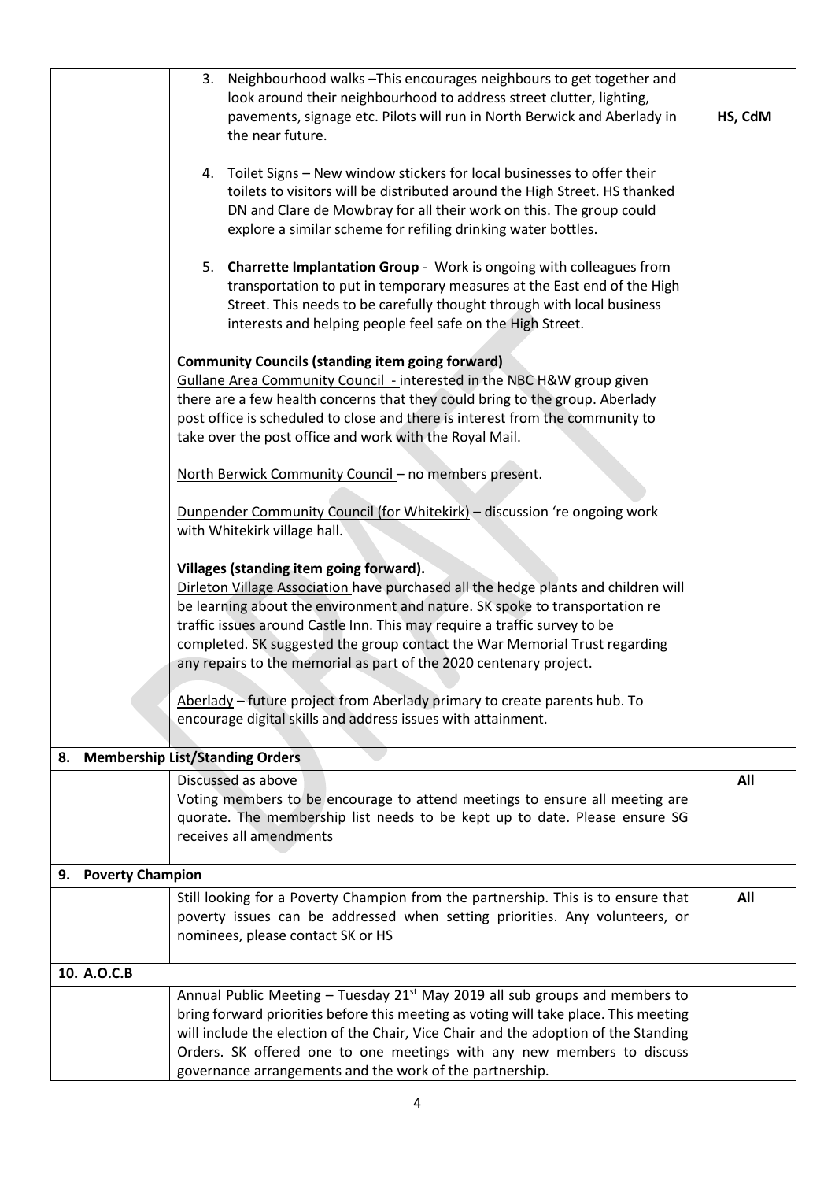|                               | 3. Neighbourhood walks - This encourages neighbours to get together and<br>look around their neighbourhood to address street clutter, lighting,<br>pavements, signage etc. Pilots will run in North Berwick and Aberlady in<br>the near future.                                                                                                                                                                                               | HS, CdM |
|-------------------------------|-----------------------------------------------------------------------------------------------------------------------------------------------------------------------------------------------------------------------------------------------------------------------------------------------------------------------------------------------------------------------------------------------------------------------------------------------|---------|
|                               | 4. Toilet Signs - New window stickers for local businesses to offer their<br>toilets to visitors will be distributed around the High Street. HS thanked<br>DN and Clare de Mowbray for all their work on this. The group could<br>explore a similar scheme for refiling drinking water bottles.                                                                                                                                               |         |
|                               | 5. Charrette Implantation Group - Work is ongoing with colleagues from<br>transportation to put in temporary measures at the East end of the High<br>Street. This needs to be carefully thought through with local business<br>interests and helping people feel safe on the High Street.                                                                                                                                                     |         |
|                               | <b>Community Councils (standing item going forward)</b><br>Gullane Area Community Council - interested in the NBC H&W group given<br>there are a few health concerns that they could bring to the group. Aberlady<br>post office is scheduled to close and there is interest from the community to<br>take over the post office and work with the Royal Mail.                                                                                 |         |
|                               | North Berwick Community Council - no members present.                                                                                                                                                                                                                                                                                                                                                                                         |         |
|                               | Dunpender Community Council (for Whitekirk) - discussion 're ongoing work<br>with Whitekirk village hall.                                                                                                                                                                                                                                                                                                                                     |         |
|                               | Villages (standing item going forward).<br>Dirleton Village Association have purchased all the hedge plants and children will<br>be learning about the environment and nature. SK spoke to transportation re<br>traffic issues around Castle Inn. This may require a traffic survey to be<br>completed. SK suggested the group contact the War Memorial Trust regarding<br>any repairs to the memorial as part of the 2020 centenary project. |         |
|                               | Aberlady - future project from Aberlady primary to create parents hub. To<br>encourage digital skills and address issues with attainment.                                                                                                                                                                                                                                                                                                     |         |
| 8.                            | <b>Membership List/Standing Orders</b>                                                                                                                                                                                                                                                                                                                                                                                                        |         |
|                               | Discussed as above<br>Voting members to be encourage to attend meetings to ensure all meeting are<br>quorate. The membership list needs to be kept up to date. Please ensure SG<br>receives all amendments                                                                                                                                                                                                                                    | All     |
| <b>Poverty Champion</b><br>9. |                                                                                                                                                                                                                                                                                                                                                                                                                                               |         |
|                               | Still looking for a Poverty Champion from the partnership. This is to ensure that<br>poverty issues can be addressed when setting priorities. Any volunteers, or<br>nominees, please contact SK or HS                                                                                                                                                                                                                                         | All     |
| 10. A.O.C.B                   |                                                                                                                                                                                                                                                                                                                                                                                                                                               |         |
|                               | Annual Public Meeting - Tuesday 21 <sup>st</sup> May 2019 all sub groups and members to<br>bring forward priorities before this meeting as voting will take place. This meeting<br>will include the election of the Chair, Vice Chair and the adoption of the Standing<br>Orders. SK offered one to one meetings with any new members to discuss<br>governance arrangements and the work of the partnership.                                  |         |